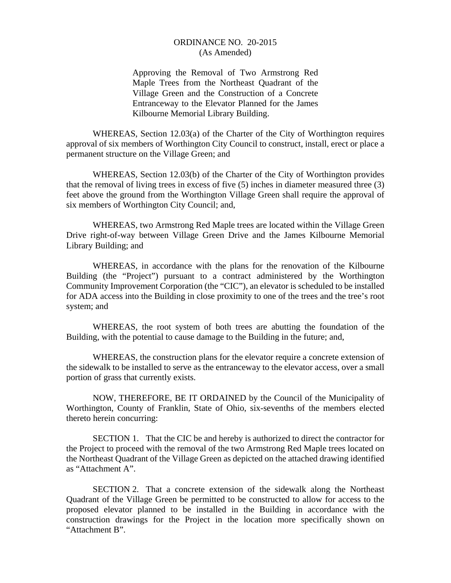## ORDINANCE NO. 20-2015 (As Amended)

Approving the Removal of Two Armstrong Red Maple Trees from the Northeast Quadrant of the Village Green and the Construction of a Concrete Entranceway to the Elevator Planned for the James Kilbourne Memorial Library Building.

 WHEREAS, Section 12.03(a) of the Charter of the City of Worthington requires approval of six members of Worthington City Council to construct, install, erect or place a permanent structure on the Village Green; and

 WHEREAS, Section 12.03(b) of the Charter of the City of Worthington provides that the removal of living trees in excess of five (5) inches in diameter measured three (3) feet above the ground from the Worthington Village Green shall require the approval of six members of Worthington City Council; and,

 WHEREAS, two Armstrong Red Maple trees are located within the Village Green Drive right-of-way between Village Green Drive and the James Kilbourne Memorial Library Building; and

 WHEREAS, in accordance with the plans for the renovation of the Kilbourne Building (the "Project") pursuant to a contract administered by the Worthington Community Improvement Corporation (the "CIC"), an elevator is scheduled to be installed for ADA access into the Building in close proximity to one of the trees and the tree's root system; and

 WHEREAS, the root system of both trees are abutting the foundation of the Building, with the potential to cause damage to the Building in the future; and,

 WHEREAS, the construction plans for the elevator require a concrete extension of the sidewalk to be installed to serve as the entranceway to the elevator access, over a small portion of grass that currently exists.

 NOW, THEREFORE, BE IT ORDAINED by the Council of the Municipality of Worthington, County of Franklin, State of Ohio, six-sevenths of the members elected thereto herein concurring:

 SECTION 1. That the CIC be and hereby is authorized to direct the contractor for the Project to proceed with the removal of the two Armstrong Red Maple trees located on the Northeast Quadrant of the Village Green as depicted on the attached drawing identified as "Attachment A".

 SECTION 2. That a concrete extension of the sidewalk along the Northeast Quadrant of the Village Green be permitted to be constructed to allow for access to the proposed elevator planned to be installed in the Building in accordance with the construction drawings for the Project in the location more specifically shown on "Attachment B".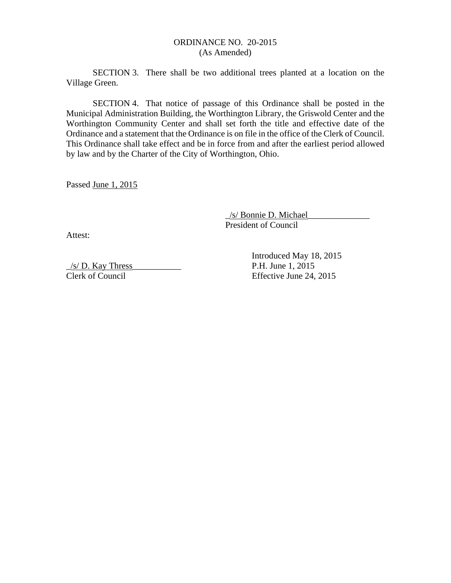## ORDINANCE NO. 20-2015 (As Amended)

 SECTION 3. There shall be two additional trees planted at a location on the Village Green.

SECTION 4. That notice of passage of this Ordinance shall be posted in the Municipal Administration Building, the Worthington Library, the Griswold Center and the Worthington Community Center and shall set forth the title and effective date of the Ordinance and a statement that the Ordinance is on file in the office of the Clerk of Council. This Ordinance shall take effect and be in force from and after the earliest period allowed by law and by the Charter of the City of Worthington, Ohio.

Passed June 1, 2015

\_/s/ Bonnie D. Michael\_\_\_\_\_\_\_\_\_\_\_\_\_\_ President of Council

Attest:

 $\frac{1}{s}$  P.H. June 1, 2015 Clerk of Council Effective June 24, 2015

Introduced May 18, 2015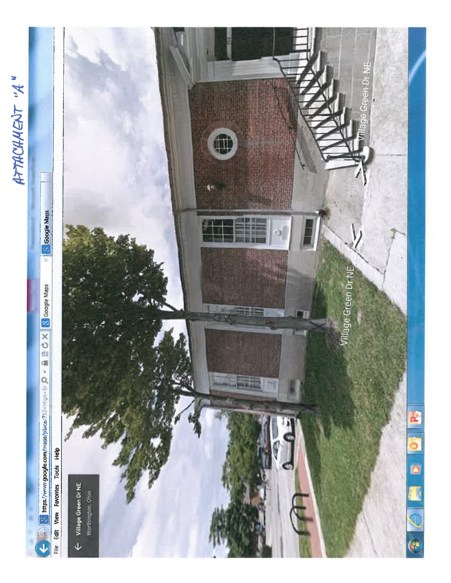**HTACHAENT "A"**